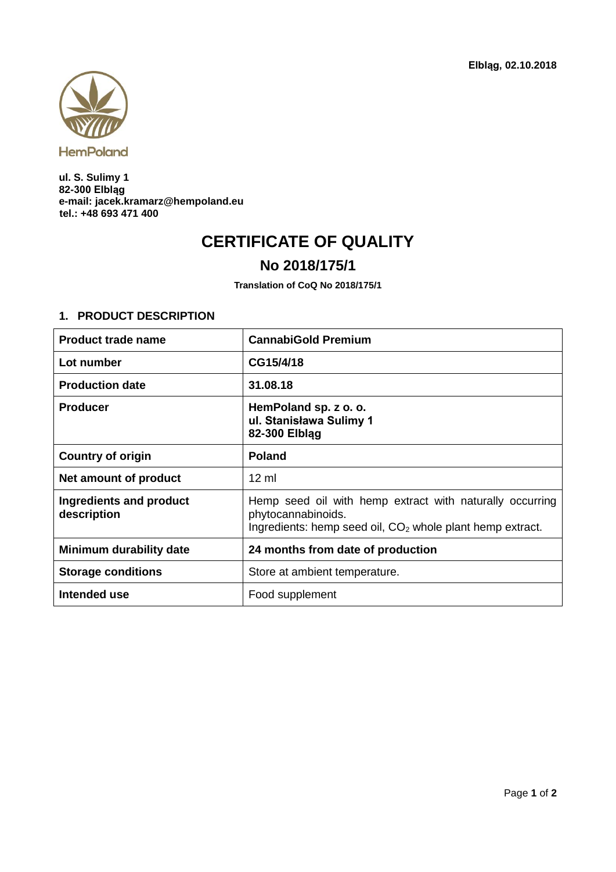

**ul. S. Sulimy 1 82-300 Elbląg e-mail: jacek.kramarz@hempoland.eu tel.: +48 693 471 400**

## **CERTIFICATE OF QUALITY**

## **No 2018/175/1**

**Translation of CoQ No 2018/175/1**

## **1. PRODUCT DESCRIPTION**

| <b>Product trade name</b>              | <b>CannabiGold Premium</b>                                                                                                                              |  |
|----------------------------------------|---------------------------------------------------------------------------------------------------------------------------------------------------------|--|
| Lot number                             | CG15/4/18                                                                                                                                               |  |
| <b>Production date</b>                 | 31.08.18                                                                                                                                                |  |
| <b>Producer</b>                        | HemPoland sp. z o. o.<br>ul. Stanisława Sulimy 1<br>82-300 Elblag                                                                                       |  |
| <b>Country of origin</b>               | <b>Poland</b>                                                                                                                                           |  |
| Net amount of product                  | $12 \text{ ml}$                                                                                                                                         |  |
| Ingredients and product<br>description | Hemp seed oil with hemp extract with naturally occurring<br>phytocannabinoids.<br>Ingredients: hemp seed oil, CO <sub>2</sub> whole plant hemp extract. |  |
| Minimum durability date                | 24 months from date of production                                                                                                                       |  |
| <b>Storage conditions</b>              | Store at ambient temperature.                                                                                                                           |  |
| Intended use                           | Food supplement                                                                                                                                         |  |